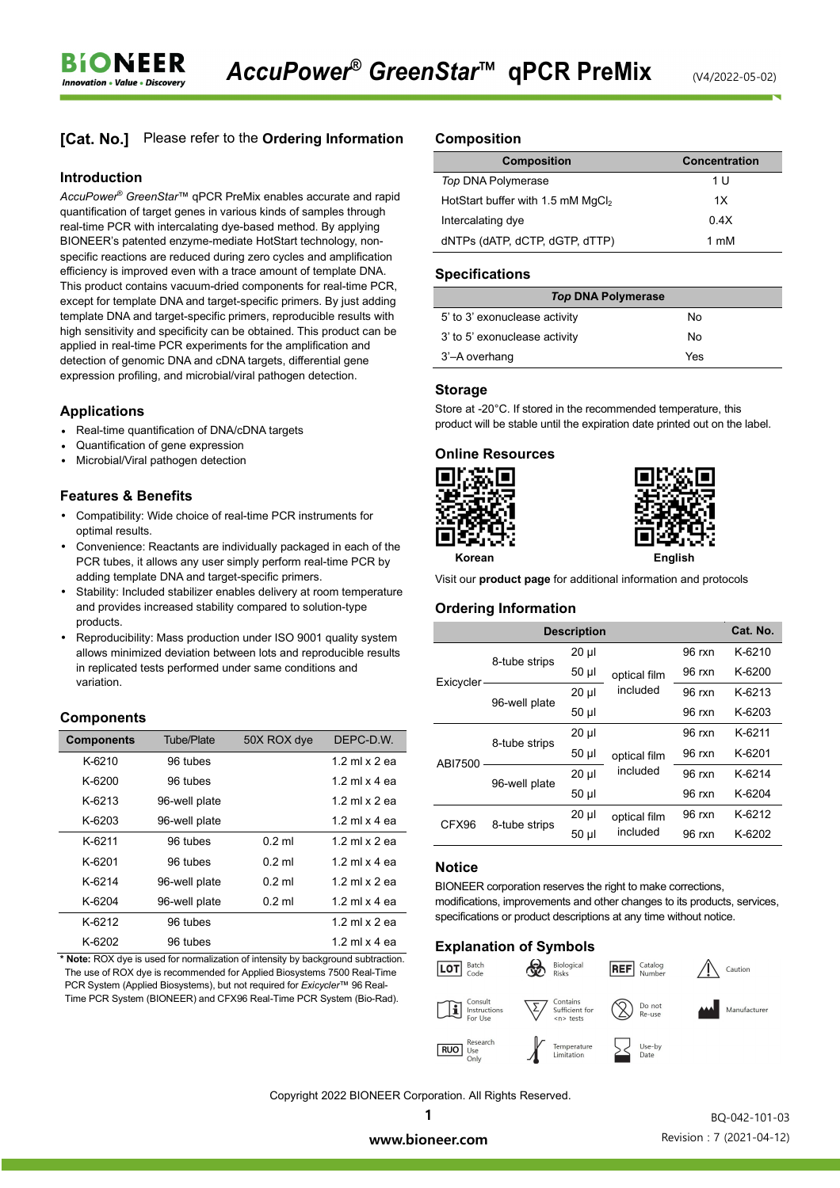# **[Cat. No.]** Please refer to the **Ordering Information**

#### **Introduction**

**BIONEER Innovation • Value • Discover** 

*AccuPower*® *GreenStar*™ qPCR PreMix enables accurate and rapid quantification of target genes in various kinds of samples through real-time PCR with intercalating dye-based method. By applying BIONEER's patented enzyme-mediate HotStart technology, nonspecific reactions are reduced during zero cycles and amplification efficiency is improved even with a trace amount of template DNA. This product contains vacuum-dried components for real-time PCR, except for template DNA and target-specific primers. By just adding template DNA and target-specific primers, reproducible results with high sensitivity and specificity can be obtained. This product can be applied in real-time PCR experiments for the amplification and detection of genomic DNA and cDNA targets, differential gene expression profiling, and microbial/viral pathogen detection.

#### **Applications**

- Real-time quantification of DNA/cDNA targets
- Quantification of gene expression
- Microbial/Viral pathogen detection

#### **Features & Benefits**

- Compatibility: Wide choice of real-time PCR instruments for optimal results.
- Convenience: Reactants are individually packaged in each of the PCR tubes, it allows any user simply perform real-time PCR by adding template DNA and target-specific primers.
- Stability: Included stabilizer enables delivery at room temperature and provides increased stability compared to solution-type products.
- Reproducibility: Mass production under ISO 9001 quality system allows minimized deviation between lots and reproducible results in replicated tests performed under same conditions and variation.

## **Components**

| <b>Components</b> | <b>Tube/Plate</b> | 50X ROX dye | DEPC-D.W.            |
|-------------------|-------------------|-------------|----------------------|
| K-6210            | 96 tubes          |             | 12 ml x 2 ea         |
| $K-6200$          | 96 tubes          |             | 1.2 ml $\times$ 4 ea |
| K-6213            | 96-well plate     |             | 12 ml x 2 ea         |
| K-6203            | 96-well plate     |             | 1.2 ml $\times$ 4 ea |
| K-6211            | 96 tubes          | $0.2$ ml    | 12 ml x 2 ea         |
| K-6201            | 96 tubes          | $0.2$ ml    | 1.2 ml $\times$ 4 ea |
| K-6214            | 96-well plate     | $0.2$ ml    | 12 ml x 2 ea         |
| K-6204            | 96-well plate     | $0.2$ ml    | 1.2 ml $\times$ 4 ea |
| K-6212            | 96 tubes          |             | 1.2 ml $\times$ 2 ea |
| K-6202            | 96 tubes          |             | 1.2 ml $\times$ 4 ea |

**\* Note:** ROX dye is used for normalization of intensity by background subtraction. The use of ROX dye is recommended for Applied Biosystems 7500 Real-Time PCR System (Applied Biosystems), but not required for *Exicycler*™ 96 Real-Time PCR System (BIONEER) and CFX96 Real-Time PCR System (Bio-Rad).

#### **Composition**

| <b>Composition</b>                  | <b>Concentration</b> |
|-------------------------------------|----------------------|
| Top DNA Polymerase                  | 1 U                  |
| HotStart buffer with 1.5 mM $MqCl2$ | 1X                   |
| Intercalating dye                   | 0.4X                 |
| dNTPs (dATP, dCTP, dGTP, dTTP)      | 1 mM                 |

#### **Specifications**

| <b>Top DNA Polymerase</b>     |     |  |  |  |
|-------------------------------|-----|--|--|--|
| 5' to 3' exonuclease activity | No. |  |  |  |
| 3' to 5' exonuclease activity | Nο  |  |  |  |
| 3'-A overhang                 | Yes |  |  |  |

#### **Storage**

Store at -20°C. If stored in the recommended temperature, this product will be stable until the expiration date printed out on the label.

#### **Online Resources**





**Korean English** 

Visit our **product page** for additional information and protocols

#### **Ordering Information**

|            |               | <b>Description</b> |                          |          | Cat. No. |
|------------|---------------|--------------------|--------------------------|----------|----------|
| Exicycler- | 8-tube strips | $20 \mu$           | optical film<br>included | 96 rxn   | $K-6210$ |
|            |               | $50 \mu$           |                          | 96 rxn   | $K-6200$ |
|            | 96-well plate | $20 \mu$           |                          | 96 rxn   | $K-6213$ |
|            |               | $50 \mu$           |                          | 96 rxn   | K-6203   |
| ABI7500    | 8-tube strips | 20 µl              | optical film<br>included | 96 rxn   | K-6211   |
|            |               | 50 µl              |                          | $96$ rxn | K-6201   |
|            | 96-well plate | $20 \mu$           |                          | 96 rxn   | K-6214   |
|            |               | 50 µl              |                          | 96 rxn   | K-6204   |
| CFX96      | 8-tube strips | 20 µl              | optical film<br>included | 96 rxn   | K-6212   |
|            |               | $50 \mu$           |                          | 96 rxn   | K-6202   |

## **Notice**

BIONEER corporation reserves the right to make corrections, modifications, improvements and other changes to its products, services, specifications or product descriptions at any time without notice.

#### **Explanation of Symbols**



Copyright 2022 BIONEER Corporation. All Rights Reserved.

1

 BQ-042-101-03 Revision : 7 (2021-04-12)

www.bioneer.com